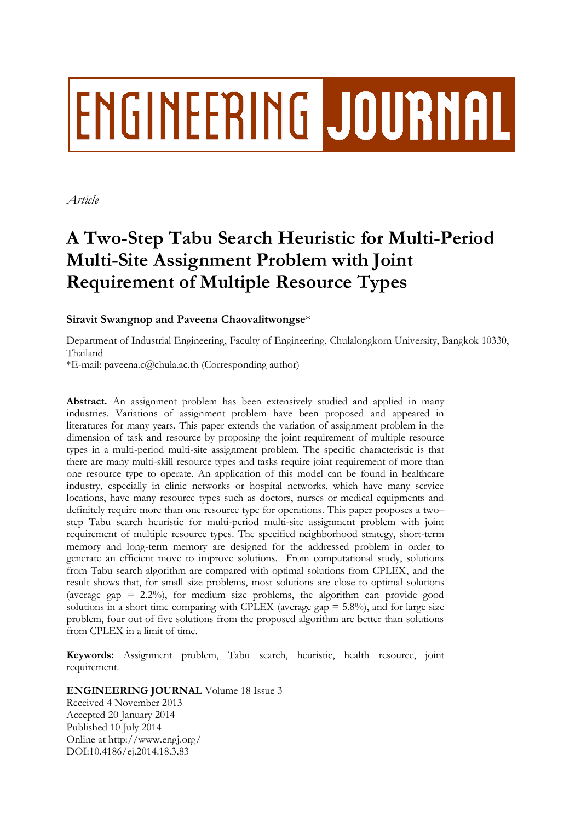# **ENGINEERING JOURNAL**

*Article*

## **A Two-Step Tabu Search Heuristic for Multi-Period Multi-Site Assignment Problem with Joint Requirement of Multiple Resource Types**

### **Siravit Swangnop and Paveena Chaovalitwongse**\*

Department of Industrial Engineering, Faculty of Engineering, Chulalongkorn University, Bangkok 10330, Thailand

\*E-mail: paveena.c@chula.ac.th (Corresponding author)

**Abstract.** An assignment problem has been extensively studied and applied in many industries. Variations of assignment problem have been proposed and appeared in literatures for many years. This paper extends the variation of assignment problem in the dimension of task and resource by proposing the joint requirement of multiple resource types in a multi-period multi-site assignment problem. The specific characteristic is that there are many multi-skill resource types and tasks require joint requirement of more than one resource type to operate. An application of this model can be found in healthcare industry, especially in clinic networks or hospital networks, which have many service locations, have many resource types such as doctors, nurses or medical equipments and definitely require more than one resource type for operations. This paper proposes a two– step Tabu search heuristic for multi-period multi-site assignment problem with joint requirement of multiple resource types. The specified neighborhood strategy, short-term memory and long-term memory are designed for the addressed problem in order to generate an efficient move to improve solutions. From computational study, solutions from Tabu search algorithm are compared with optimal solutions from CPLEX, and the result shows that, for small size problems, most solutions are close to optimal solutions (average gap  $= 2.2\%$ ), for medium size problems, the algorithm can provide good solutions in a short time comparing with CPLEX (average gap  $= 5.8\%$ ), and for large size problem, four out of five solutions from the proposed algorithm are better than solutions from CPLEX in a limit of time.

**Keywords:** Assignment problem, Tabu search, heuristic, health resource, joint requirement.

**ENGINEERING JOURNAL** Volume 18 Issue 3

Received 4 November 2013 Accepted 20 January 2014 Published 10 July 2014 Online at http://www.engj.org/ DOI:10.4186/ej.2014.18.3.83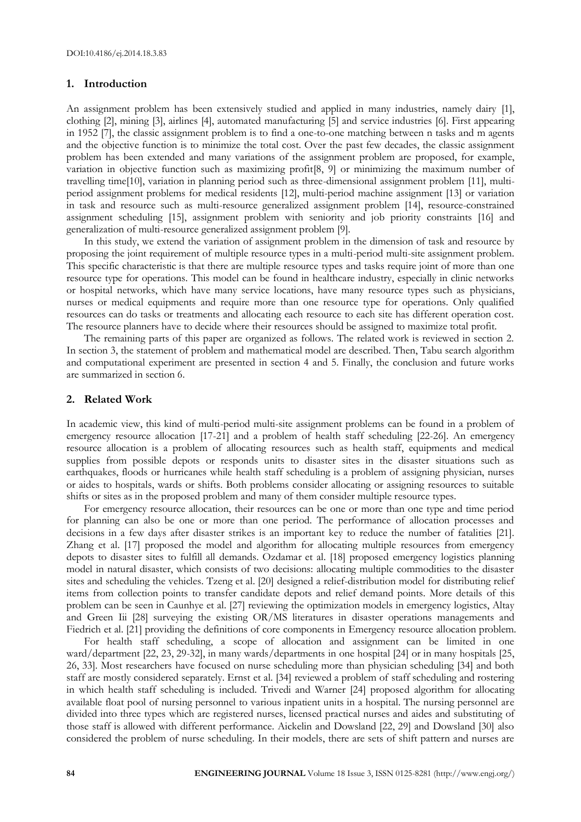#### **1. Introduction**

An assignment problem has been extensively studied and applied in many industries, namely dairy [1], clothing [2], mining [3], airlines [4], automated manufacturing [5] and service industries [6]. First appearing in 1952 [7], the classic assignment problem is to find a one-to-one matching between n tasks and m agents and the objective function is to minimize the total cost. Over the past few decades, the classic assignment problem has been extended and many variations of the assignment problem are proposed, for example, variation in objective function such as maximizing profit[8, 9] or minimizing the maximum number of travelling time[10], variation in planning period such as three-dimensional assignment problem [11], multiperiod assignment problems for medical residents [12], multi-period machine assignment [13] or variation in task and resource such as multi-resource generalized assignment problem [14], resource-constrained assignment scheduling [15], assignment problem with seniority and job priority constraints [16] and generalization of multi-resource generalized assignment problem [9].

In this study, we extend the variation of assignment problem in the dimension of task and resource by proposing the joint requirement of multiple resource types in a multi-period multi-site assignment problem. This specific characteristic is that there are multiple resource types and tasks require joint of more than one resource type for operations. This model can be found in healthcare industry, especially in clinic networks or hospital networks, which have many service locations, have many resource types such as physicians, nurses or medical equipments and require more than one resource type for operations. Only qualified resources can do tasks or treatments and allocating each resource to each site has different operation cost. The resource planners have to decide where their resources should be assigned to maximize total profit.

The remaining parts of this paper are organized as follows. The related work is reviewed in section 2. In section 3, the statement of problem and mathematical model are described. Then, Tabu search algorithm and computational experiment are presented in section 4 and 5. Finally, the conclusion and future works are summarized in section 6.

#### **2. Related Work**

In academic view, this kind of multi-period multi-site assignment problems can be found in a problem of emergency resource allocation [17-21] and a problem of health staff scheduling [22-26]. An emergency resource allocation is a problem of allocating resources such as health staff, equipments and medical supplies from possible depots or responds units to disaster sites in the disaster situations such as earthquakes, floods or hurricanes while health staff scheduling is a problem of assigning physician, nurses or aides to hospitals, wards or shifts. Both problems consider allocating or assigning resources to suitable shifts or sites as in the proposed problem and many of them consider multiple resource types.

For emergency resource allocation, their resources can be one or more than one type and time period for planning can also be one or more than one period. The performance of allocation processes and decisions in a few days after disaster strikes is an important key to reduce the number of fatalities [21]. Zhang et al. [17] proposed the model and algorithm for allocating multiple resources from emergency depots to disaster sites to fulfill all demands. Ozdamar et al. [18] proposed emergency logistics planning model in natural disaster, which consists of two decisions: allocating multiple commodities to the disaster sites and scheduling the vehicles. Tzeng et al. [20] designed a relief-distribution model for distributing relief items from collection points to transfer candidate depots and relief demand points. More details of this problem can be seen in Caunhye et al. [27] reviewing the optimization models in emergency logistics, Altay and Green Iii [28] surveying the existing OR/MS literatures in disaster operations managements and Fiedrich et al. [21] providing the definitions of core components in Emergency resource allocation problem.

For health staff scheduling, a scope of allocation and assignment can be limited in one ward/department [22, 23, 29-32], in many wards/departments in one hospital [24] or in many hospitals [25, 26, 33]. Most researchers have focused on nurse scheduling more than physician scheduling [34] and both staff are mostly considered separately. Ernst et al. [34] reviewed a problem of staff scheduling and rostering in which health staff scheduling is included. Trivedi and Warner [24] proposed algorithm for allocating available float pool of nursing personnel to various inpatient units in a hospital. The nursing personnel are divided into three types which are registered nurses, licensed practical nurses and aides and substituting of those staff is allowed with different performance. Aickelin and Dowsland [22, 29] and Dowsland [30] also considered the problem of nurse scheduling. In their models, there are sets of shift pattern and nurses are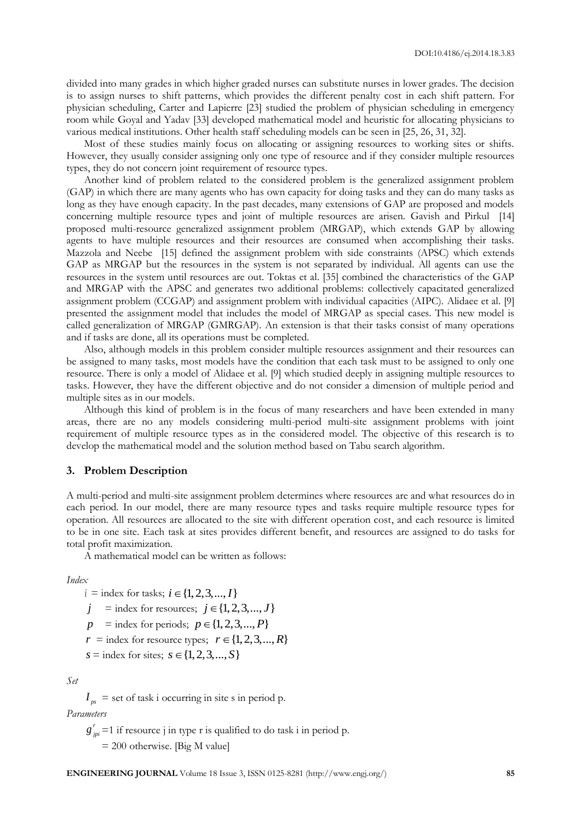divided into many grades in which higher graded nurses can substitute nurses in lower grades. The decision is to assign nurses to shift patterns, which provides the different penalty cost in each shift pattern. For physician scheduling, Carter and Lapierre [23] studied the problem of physician scheduling in emergency room while Goyal and Yadav [33] developed mathematical model and heuristic for allocating physicians to various medical institutions. Other health staff scheduling models can be seen in [25, 26, 31, 32].

Most of these studies mainly focus on allocating or assigning resources to working sites or shifts. However, they usually consider assigning only one type of resource and if they consider multiple resources types, they do not concern joint requirement of resource types.

Another kind of problem related to the considered problem is the generalized assignment problem (GAP) in which there are many agents who has own capacity for doing tasks and they can do many tasks as long as they have enough capacity. In the past decades, many extensions of GAP are proposed and models concerning multiple resource types and joint of multiple resources are arisen. Gavish and Pirkul [14] proposed multi-resource generalized assignment problem (MRGAP), which extends GAP by allowing agents to have multiple resources and their resources are consumed when accomplishing their tasks. Mazzola and Neebe [15] defined the assignment problem with side constraints (APSC) which extends GAP as MRGAP but the resources in the system is not separated by individual. All agents can use the resources in the system until resources are out. Toktas et al. [35] combined the characteristics of the GAP and MRGAP with the APSC and generates two additional problems: collectively capacitated generalized assignment problem (CCGAP) and assignment problem with individual capacities (AIPC). Alidaee et al. [9] presented the assignment model that includes the model of MRGAP as special cases. This new model is called generalization of MRGAP (GMRGAP). An extension is that their tasks consist of many operations and if tasks are done, all its operations must be completed.

Also, although models in this problem consider multiple resources assignment and their resources can be assigned to many tasks, most models have the condition that each task must to be assigned to only one resource. There is only a model of Alidaee et al. [9] which studied deeply in assigning multiple resources to tasks. However, they have the different objective and do not consider a dimension of multiple period and multiple sites as in our models.

Although this kind of problem is in the focus of many researchers and have been extended in many areas, there are no any models considering multi-period multi-site assignment problems with joint requirement of multiple resource types as in the considered model. The objective of this research is to develop the mathematical model and the solution method based on Tabu search algorithm.

#### **3. Problem Description**

A multi-period and multi-site assignment problem determines where resources are and what resources do in each period. In our model, there are many resource types and tasks require multiple resource types for operation. All resources are allocated to the site with different operation cost, and each resource is limited to be in one site. Each task at sites provides different benefit, and resources are assigned to do tasks for total profit maximization.

A mathematical model can be written as follows:

#### *Index*

 $i = \text{index for tasks}; i \in \{1, 2, 3, ..., I\}$ *j* = index for resources;  $j \in \{1, 2, 3, ..., J\}$  $p =$  index for periods;  $p \in \{1, 2, 3, ..., P\}$  $r =$  index for resource types;  $r \in \{1, 2, 3, ..., R\}$  $s = \text{index for sites}; s \in \{1, 2, 3, ..., S\}$ 

*Set*

 $I_{ps}$  = set of task i occurring in site s in period p.

#### *Parameters*

 $g'_{pi}$  =1 if resource j in type r is qualified to do task i in period p.  $= 200$  otherwise. [Big M value]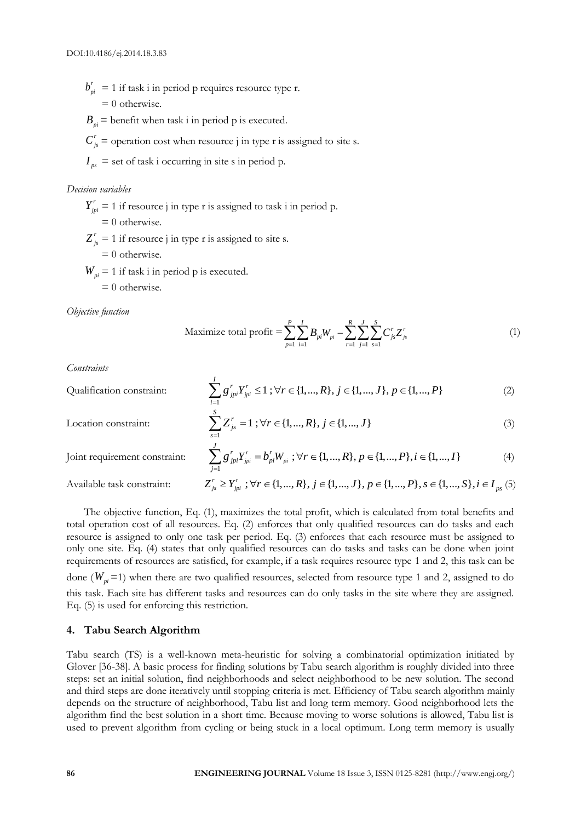- $b'_{pi}$  = 1 if task i in period p requires resource type r.  $= 0$  otherwise.
- $B_{pi}$  = benefit when task i in period p is executed.
- $C'_{js}$  = operation cost when resource *j* in type *r* is assigned to site *s*.
- $I_{ps}$  = set of task i occurring in site s in period p.

#### *Decision variables*

 $Y_{jpi}^r = 1$  if resource j in type r is assigned to task i in period p.

 $= 0$  otherwise.

 $Z_{js}^{r} = 1$  if resource j in type r is assigned to site s.

 $= 0$  otherwise.

 $W_{pi}$  = 1 if task i in period p is executed.

 $= 0$  otherwise.

*Objective function*

$$
\text{Maximize total profit} = \sum_{p=1}^{P} \sum_{i=1}^{I} B_{pi} W_{pi} - \sum_{r=1}^{R} \sum_{j=1}^{J} \sum_{s=1}^{S} C_{js}^{r} Z_{js}^{r} \tag{1}
$$

*Constraints*

$$
\sum_{i=1}^{I} g_{jpi}^{r} Y_{jpi}^{r} \le 1 \ ; \forall r \in \{1, ..., R\}, j \in \{1, ..., J\}, p \in \{1, ..., P\}
$$
 (2)

Location constraint:

Qualification constraint:

$$
\sum_{s=1}^{S} Z_{js}^{r} = 1 ; \forall r \in \{1, ..., R\}, j \in \{1, ..., J\}
$$
\n(3)

Joint requirement constraint:

$$
\sum_{j=1}^{J} g^{r}_{jpi} Y^{r}_{jpi} = b^{r}_{pi} W_{pi}; \forall r \in \{1, ..., R\}, p \in \{1, ..., P\}, i \in \{1, ..., I\}
$$
 (4)

Available task constraint:

$$
\sum_{j=1} g'_{jp} Y'_{jp} = b'_{pi} W_{pi}; \forall r \in \{1, ..., R\}, p \in \{1, ..., P\}, i \in \{1, ..., I\}
$$
(4)  

$$
Z'_{js} \ge Y'_{jp} ; \forall r \in \{1, ..., R\}, j \in \{1, ..., J\}, p \in \{1, ..., P\}, s \in \{1, ..., S\}, i \in I_{ps} (5)
$$

**86 ENGINEERING JOURNAL** Volume 18 Issue 3, ISSN 0125-8281 (http://www.engj.org/) *r* The objective function, Eq. (1), maximizes the total profit, which is calculated from total benefits and total operation cost of all resources. Eq. (2) enforces that only qualified resources can do tasks and each resource is assigned to only one task per period. Eq. (3) enforces that each resource must be assigned to only one site. Eq. (4) states that only qualified resources can do tasks and tasks can be done when joint requirements of resources are satisfied, for example, if a task requires resource type 1 and 2, this task can be done  $(W_{pi} = 1)$  when there are two qualified resources, selected from resource type 1 and 2, assigned to do this task. Each site has different tasks and resources can do only tasks in the site where they are assigned. Eq. (5) is used for enforcing this restriction.

#### **4. Tabu Search Algorithm**

Tabu search (TS) is a well-known meta-heuristic for solving a combinatorial optimization initiated by Glover [36-38]. A basic process for finding solutions by Tabu search algorithm is roughly divided into three steps: set an initial solution, find neighborhoods and select neighborhood to be new solution. The second and third steps are done iteratively until stopping criteria is met. Efficiency of Tabu search algorithm mainly depends on the structure of neighborhood, Tabu list and long term memory. Good neighborhood lets the algorithm find the best solution in a short time. Because moving to worse solutions is allowed, Tabu list is used to prevent algorithm from cycling or being stuck in a local optimum. Long term memory is usually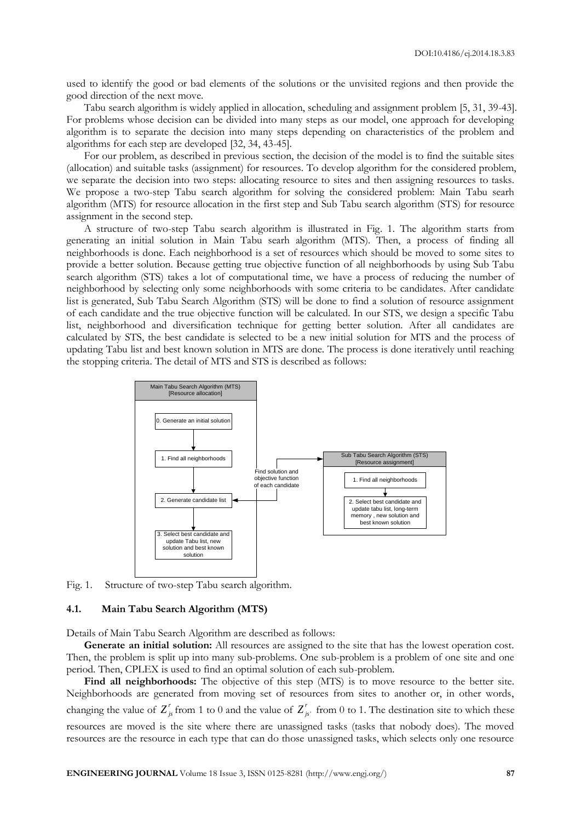used to identify the good or bad elements of the solutions or the unvisited regions and then provide the good direction of the next move.

Tabu search algorithm is widely applied in allocation, scheduling and assignment problem [5, 31, 39-43]. For problems whose decision can be divided into many steps as our model, one approach for developing algorithm is to separate the decision into many steps depending on characteristics of the problem and algorithms for each step are developed [32, 34, 43-45].

For our problem, as described in previous section, the decision of the model is to find the suitable sites (allocation) and suitable tasks (assignment) for resources. To develop algorithm for the considered problem, we separate the decision into two steps: allocating resource to sites and then assigning resources to tasks. We propose a two-step Tabu search algorithm for solving the considered problem: Main Tabu searh algorithm (MTS) for resource allocation in the first step and Sub Tabu search algorithm (STS) for resource assignment in the second step.

A structure of two-step Tabu search algorithm is illustrated in Fig. 1. The algorithm starts from generating an initial solution in Main Tabu searh algorithm (MTS). Then, a process of finding all neighborhoods is done. Each neighborhood is a set of resources which should be moved to some sites to provide a better solution. Because getting true objective function of all neighborhoods by using Sub Tabu search algorithm (STS) takes a lot of computational time, we have a process of reducing the number of neighborhood by selecting only some neighborhoods with some criteria to be candidates. After candidate list is generated, Sub Tabu Search Algorithm (STS) will be done to find a solution of resource assignment of each candidate and the true objective function will be calculated. In our STS, we design a specific Tabu list, neighborhood and diversification technique for getting better solution. After all candidates are calculated by STS, the best candidate is selected to be a new initial solution for MTS and the process of updating Tabu list and best known solution in MTS are done. The process is done iteratively until reaching the stopping criteria. The detail of MTS and STS is described as follows:



Fig. 1. Structure of two-step Tabu search algorithm.

#### **4.1. Main Tabu Search Algorithm (MTS)**

Details of Main Tabu Search Algorithm are described as follows:

Generate an initial solution: All resources are assigned to the site that has the lowest operation cost. Then, the problem is split up into many sub-problems. One sub-problem is a problem of one site and one period. Then, CPLEX is used to find an optimal solution of each sub-problem.

**Find all neighborhoods:** The objective of this step (MTS) is to move resource to the better site. Neighborhoods are generated from moving set of resources from sites to another or, in other words, changing the value of  $Z^r_{j}$  from 1 to 0 and the value of  $Z^r_{j}$  from 0 to 1. The destination site to which these resources are moved is the site where there are unassigned tasks (tasks that nobody does). The moved resources are the resource in each type that can do those unassigned tasks, which selects only one resource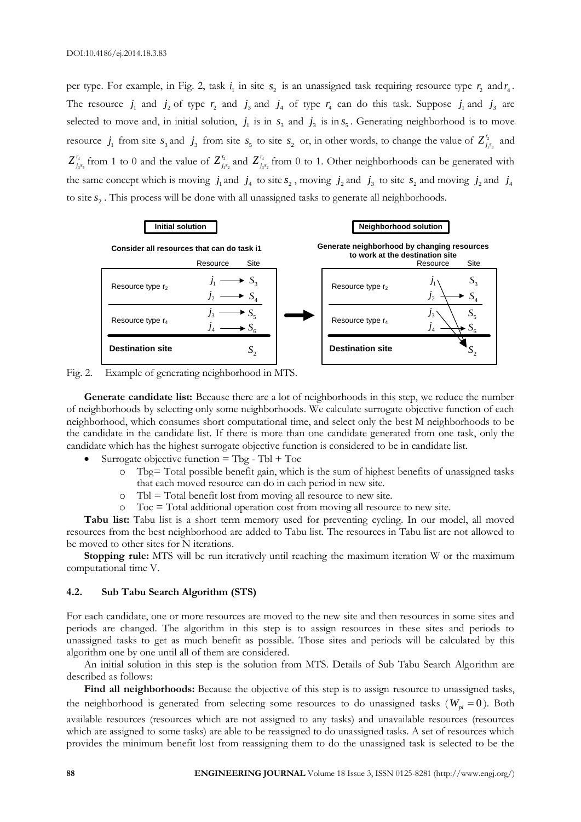per type. For example, in Fig. 2, task  $i_1$  in site  $s_2$  is an unassigned task requiring resource type  $r_2$  and  $r_4$ . The resource  $j_1$  and  $j_2$  of type  $r_2$  and  $j_3$  and  $j_4$  of type  $r_4$  can do this task. Suppose  $j_1$  and  $j_3$  are selected to move and, in initial solution,  $j_1$  is in  $s_3$  and  $j_3$  is in  $s_5$ . Generating neighborhood is to move resource  $j_1$  from site  $s_3$  and  $j_3$  from site  $s_5$  to site  $s_2$  or, in other words, to change the value of  $Z_j^{r_2}$ '1°3  $Z_{j_1s_3}^{r_2}$  and 4  $3"5$  $Z_{j,s_s}^{r_4}$  from 1 to 0 and the value of  $Z_{j_s}^{r_2}$  $1 - 2$  $Z_{j,s}^{r_2}$  and  $Z_{j_s}^{r_4}$  $3<sup>2</sup>$  $Z_{j,s}^{r_4}$  from 0 to 1. Other neighborhoods can be generated with the same concept which is moving  $j_1$  and  $j_4$  to site  $s_2$ , moving  $j_2$  and  $j_3$  to site  $s_2$  and moving  $j_2$  and  $j_4$ to site  $s_2$ . This process will be done with all unassigned tasks to generate all neighborhoods.



Fig. 2. Example of generating neighborhood in MTS.

**Generate candidate list:** Because there are a lot of neighborhoods in this step, we reduce the number of neighborhoods by selecting only some neighborhoods. We calculate surrogate objective function of each neighborhood, which consumes short computational time, and select only the best M neighborhoods to be the candidate in the candidate list. If there is more than one candidate generated from one task, only the candidate which has the highest surrogate objective function is considered to be in candidate list.

- Surrogate objective function  $=$  Tbg  $-$  Tbl  $+$  Toc
	- o Tbg= Total possible benefit gain, which is the sum of highest benefits of unassigned tasks that each moved resource can do in each period in new site.
	- o Tbl = Total benefit lost from moving all resource to new site.
	- o Toc = Total additional operation cost from moving all resource to new site.

**Tabu list:** Tabu list is a short term memory used for preventing cycling. In our model, all moved resources from the best neighborhood are added to Tabu list. The resources in Tabu list are not allowed to be moved to other sites for N iterations.

**Stopping rule:** MTS will be run iteratively until reaching the maximum iteration W or the maximum computational time V.

#### **4.2. Sub Tabu Search Algorithm (STS)**

For each candidate, one or more resources are moved to the new site and then resources in some sites and periods are changed. The algorithm in this step is to assign resources in these sites and periods to unassigned tasks to get as much benefit as possible. Those sites and periods will be calculated by this algorithm one by one until all of them are considered.

An initial solution in this step is the solution from MTS. Details of Sub Tabu Search Algorithm are described as follows:

Find all neighborhoods: Because the objective of this step is to assign resource to unassigned tasks, the neighborhood is generated from selecting some resources to do unassigned tasks ( $W_{pi} = 0$ ). Both available resources (resources which are not assigned to any tasks) and unavailable resources (resources which are assigned to some tasks) are able to be reassigned to do unassigned tasks. A set of resources which provides the minimum benefit lost from reassigning them to do the unassigned task is selected to be the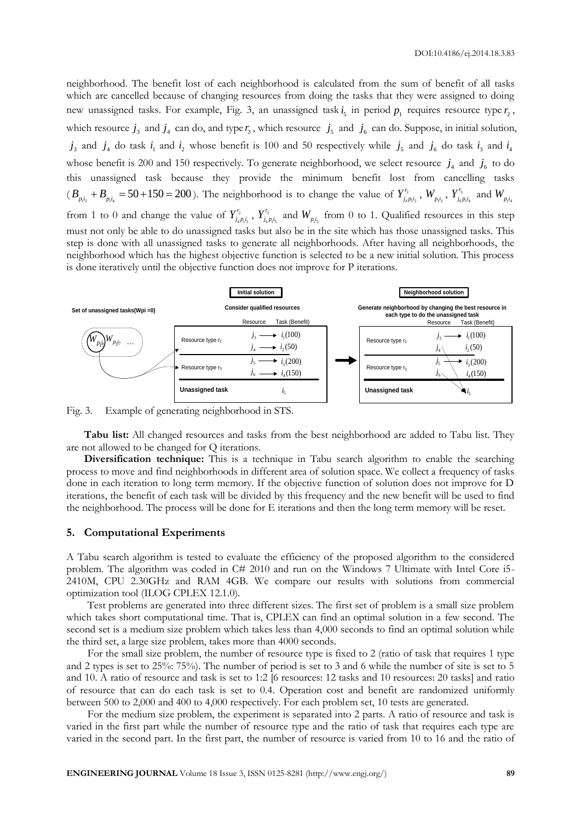neighborhood. The benefit lost of each neighborhood is calculated from the sum of benefit of all tasks which are cancelled because of changing resources from doing the tasks that they were assigned to doing new unassigned tasks. For example, Fig. 3, an unassigned task  $i_5$  in period  $p_1$  requires resource type  $r_2$ , which resource  $j_3$  and  $j_4$  can do, and type  $r_3$ , which resource  $j_5$  and  $j_6$  can do. Suppose, in initial solution,  $j_3$  and  $j_4$  do task  $i_1$  and  $i_2$  whose benefit is 100 and 50 respectively while  $j_5$  and  $j_6$  do task  $i_3$  and  $i_4$ whose benefit is 200 and 150 respectively. To generate neighborhood, we select resource  $j_4$  and  $j_6$  to do this unassigned task because they provide the minimum benefit lost from cancelling tasks  $(B_{p_1 i_2} + B_{p_1 i_4} = 50 + 150 = 200)$ . The neighborhood is to change the value of  $Y_{i_4}^{r_2}$  $4 P_1$ <sup>1</sup>  $Y_{j_4p_1i_2}^{r_2}$  ,  $W_{p_1i_2}$  ,  $Y_{j_6}^{r_3}$  $6P1'$  $Y_{j_6p_1i_4}^{r_3}$  and  $W_{p_1i_4}$ from 1 to 0 and change the value of  $Y_i^{\prime}$ 4 P<sub>1</sub>  $\frac{1}{5}$  $Y_{i_1, i_2, i_3}^{r_2}$ ,  $Y_{i_4}^{r_3}$  $6P15$  $Y_{j_{6}p_{i}i_{5}}^{r_{3}}$  and  $W_{p_{i}i_{5}}$  from 0 to 1. Qualified resources in this step must not only be able to do unassigned tasks but also be in the site which has those unassigned tasks. This step is done with all unassigned tasks to generate all neighborhoods. After having all neighborhoods, the neighborhood which has the highest objective function is selected to be a new initial solution. This process is done iteratively until the objective function does not improve for P iterations.



Fig. 3. Example of generating neighborhood in STS.

**Tabu list:** All changed resources and tasks from the best neighborhood are added to Tabu list. They are not allowed to be changed for Q iterations.

**Diversification technique:** This is a technique in Tabu search algorithm to enable the searching process to move and find neighborhoods in different area of solution space. We collect a frequency of tasks done in each iteration to long term memory. If the objective function of solution does not improve for D iterations, the benefit of each task will be divided by this frequency and the new benefit will be used to find the neighborhood. The process will be done for E iterations and then the long term memory will be reset.

#### **5. Computational Experiments**

A Tabu search algorithm is tested to evaluate the efficiency of the proposed algorithm to the considered problem. The algorithm was coded in C# 2010 and run on the Windows 7 Ultimate with Intel Core i5- 2410M, CPU 2.30GHz and RAM 4GB. We compare our results with solutions from commercial optimization tool (ILOG CPLEX 12.1.0).

Test problems are generated into three different sizes. The first set of problem is a small size problem which takes short computational time. That is, CPLEX can find an optimal solution in a few second. The second set is a medium size problem which takes less than 4,000 seconds to find an optimal solution while the third set, a large size problem, takes more than 4000 seconds.

For the small size problem, the number of resource type is fixed to 2 (ratio of task that requires 1 type and 2 types is set to 25%: 75%). The number of period is set to 3 and 6 while the number of site is set to 5 and 10. A ratio of resource and task is set to 1:2 [6 resources: 12 tasks and 10 resources: 20 tasks] and ratio of resource that can do each task is set to 0.4. Operation cost and benefit are randomized uniformly between 500 to 2,000 and 400 to 4,000 respectively. For each problem set, 10 tests are generated.

For the medium size problem, the experiment is separated into 2 parts. A ratio of resource and task is varied in the first part while the number of resource type and the ratio of task that requires each type are varied in the second part. In the first part, the number of resource is varied from 10 to 16 and the ratio of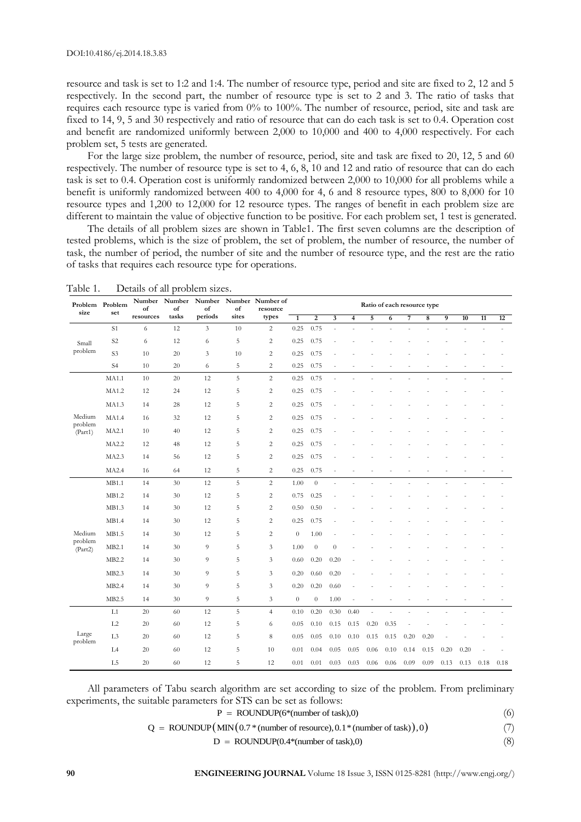resource and task is set to 1:2 and 1:4. The number of resource type, period and site are fixed to 2, 12 and 5 respectively. In the second part, the number of resource type is set to 2 and 3. The ratio of tasks that requires each resource type is varied from 0% to 100%. The number of resource, period, site and task are fixed to 14, 9, 5 and 30 respectively and ratio of resource that can do each task is set to 0.4. Operation cost and benefit are randomized uniformly between 2,000 to 10,000 and 400 to 4,000 respectively. For each problem set, 5 tests are generated.

For the large size problem, the number of resource, period, site and task are fixed to 20, 12, 5 and 60 respectively. The number of resource type is set to 4, 6, 8, 10 and 12 and ratio of resource that can do each task is set to 0.4. Operation cost is uniformly randomized between 2,000 to 10,000 for all problems while a benefit is uniformly randomized between 400 to 4,000 for 4, 6 and 8 resource types, 800 to 8,000 for 10 resource types and 1,200 to 12,000 for 12 resource types. The ranges of benefit in each problem size are different to maintain the value of objective function to be positive. For each problem set, 1 test is generated.

The details of all problem sizes are shown in Table1. The first seven columns are the description of tested problems, which is the size of problem, the set of problem, the number of resource, the number of task, the number of period, the number of site and the number of resource type, and the rest are the ratio of tasks that requires each resource type for operations.

| size               | Problem Problem<br>set | of        | of                                      | of                                    | of    | Number Number Number Number Number of<br>resource | Ratio of each resource type |                |                  |                         |                |      |      |      |      |      |                 |      |
|--------------------|------------------------|-----------|-----------------------------------------|---------------------------------------|-------|---------------------------------------------------|-----------------------------|----------------|------------------|-------------------------|----------------|------|------|------|------|------|-----------------|------|
|                    |                        | resources | tasks                                   | periods                               | sites | types                                             | $\mathbf{1}$                | $\overline{2}$ | 3                | $\overline{\mathbf{4}}$ | 5              | 6    | 7    | 8    | 9    | 10   | $\overline{11}$ | 12   |
|                    | S <sub>1</sub>         | 6         | 12                                      | 3                                     | 10    | $\overline{c}$                                    | 0.25                        | 0.75           |                  |                         |                |      |      |      |      |      |                 |      |
| Small              | S <sub>2</sub>         | 6         | 12                                      | 6                                     | 5     | $\overline{c}$                                    | 0.25                        | 0.75           |                  |                         |                |      |      |      |      |      |                 |      |
| problem            | S <sub>3</sub>         | 10        | $20\,$                                  | 3                                     | 10    | $\sqrt{2}$                                        | 0.25                        | 0.75           |                  |                         |                |      |      |      |      |      |                 |      |
|                    | S4                     | 10        | $20\,$                                  | 6                                     | 5     | $\sqrt{2}$                                        | 0.25                        | 0.75           |                  |                         |                |      |      |      |      |      |                 |      |
|                    | <b>MA1.1</b>           | 10        | $20\,$                                  | 12                                    | 5     | $\sqrt{2}$                                        | 0.25                        | 0.75           |                  |                         |                |      |      |      |      |      |                 |      |
|                    | <b>MA1.2</b>           | 12        | 24                                      | 12                                    | 5     | $\sqrt{2}$                                        | 0.25                        | 0.75           |                  |                         |                |      |      |      |      |      |                 |      |
|                    | MA1.3                  | 14        | 28                                      | 12                                    | 5     | $\overline{c}$                                    | 0.25                        | 0.75           |                  |                         |                |      |      |      |      |      |                 |      |
| Medium             | <b>MA1.4</b>           | 16        | 32                                      | 12                                    | 5     | $\overline{c}$                                    | 0.25                        | 0.75           |                  |                         |                |      |      |      |      |      |                 |      |
| problem<br>(Part1) | MA2.1                  | 10        | 40                                      | 12<br>5<br>$\sqrt{2}$<br>0.75<br>0.25 |       |                                                   |                             |                |                  |                         |                |      |      |      |      |      |                 |      |
|                    | MA2.2                  | 12        | 48                                      | 12                                    | 5     | $\overline{c}$                                    | 0.25                        | 0.75           |                  |                         |                |      |      |      |      |      |                 |      |
|                    | MA2.3                  | 14        | 56                                      | 12                                    | 5     | $\overline{c}$                                    | 0.25                        | 0.75           |                  |                         |                |      |      |      |      |      |                 |      |
|                    | MA2.4                  | 16        | 5<br>$\overline{c}$<br>12<br>0.25<br>64 | 0.75                                  |       |                                                   |                             |                |                  |                         |                |      |      |      |      |      |                 |      |
|                    | MB1.1                  | 14        | 30                                      | 12                                    | 5     | $\sqrt{2}$                                        | 1.00                        | $\theta$       |                  |                         |                |      |      |      |      |      |                 |      |
|                    | MB1.2                  | 14        | 30                                      | 12                                    | 5     | $\overline{c}$                                    | 0.75                        | 0.25           |                  |                         |                |      |      |      |      |      |                 |      |
|                    | MB1.3                  | 14        | $30\,$                                  | 12                                    | 5     | $\overline{c}$                                    | 0.50                        | 0.50           |                  |                         |                |      |      |      |      |      |                 |      |
|                    | MB1.4                  | 14        | 30                                      | 12                                    | 5     | $\overline{c}$                                    | 0.25                        | 0.75           |                  |                         |                |      |      |      |      |      |                 |      |
| Medium             | MB1.5                  | 14        | 30                                      | 12                                    | 5     | $\sqrt{2}$                                        | $\theta$                    | 1.00           |                  |                         |                |      |      |      |      |      |                 |      |
| problem<br>(Part2) | MB2.1                  | 14        | 30                                      | 9                                     | 5     | $\mathfrak{Z}$                                    | 1.00                        | $\theta$       | $\boldsymbol{0}$ |                         |                |      |      |      |      |      |                 |      |
|                    | MB2.2                  | 14        | 30                                      | 9                                     | 5     | 3                                                 | 0.60                        | 0.20           | 0.20             |                         |                |      |      |      |      |      |                 |      |
|                    | MB2.3                  | 14        | 30                                      | 9                                     | 5     | 3                                                 | 0.20                        | 0.60           | 0.20             |                         |                |      |      |      |      |      |                 |      |
|                    | MB2.4                  | 14        | 30                                      | 9                                     | 5     | $\mathfrak{Z}$                                    | 0.20                        | 0.20           | 0.60             |                         |                |      |      |      |      |      |                 |      |
|                    | MB2.5                  | 14        | 30                                      | 9                                     | 5     | $\mathfrak{Z}$                                    | $\theta$                    | $\theta$       | 1.00             |                         |                |      |      |      |      |      |                 |      |
|                    | L1                     | 20        | 60                                      | 12                                    | 5     | $\overline{4}$                                    | 0.10                        | 0.20           | 0.30             | 0.40                    | $\overline{a}$ |      |      |      |      |      |                 |      |
|                    | L2                     | 20        | 60                                      | 12                                    | 5     | 6                                                 | 0.05                        | 0.10           | 0.15             | 0.15                    | 0.20           | 0.35 |      |      |      |      |                 |      |
| Large              | L <sub>3</sub>         | 20        | 60                                      | 12                                    | 5     | $\,$ 8 $\,$                                       | 0.05                        | 0.05           | 0.10             | 0.10                    | 0.15           | 0.15 | 0.20 | 0.20 |      |      |                 |      |
| problem            | L4                     | 20        | 60                                      | 12                                    | 5     | 10                                                | 0.01                        | 0.04           | 0.05             | 0.05                    | 0.06           | 0.10 | 0.14 | 0.15 | 0.20 | 0.20 |                 |      |
|                    | L5                     | 20        | 60                                      | 12                                    | 5     | 12                                                | 0.01                        | 0.01           | 0.03             | 0.03                    | 0.06           | 0.06 | 0.09 | 0.09 | 0.13 | 0.13 | 0.18            | 0.18 |

Table 1. Details of all problem sizes.

All parameters of Tabu search algorithm are set according to size of the problem. From preliminary experiments, the suitable parameters for STS can be set as follows:

$$
P = \text{ROUNDUP}(6^*(\text{number of task}), 0)
$$

(6)

(8)

 $Q = \text{ROUNDUP}(\text{MIN}(0.7^*(\text{number of resource}), 0.1^*(\text{number of task})), 0)$ (7)

 $D = \text{ROUNDUP}(0.4^*(\text{number of task}),0)$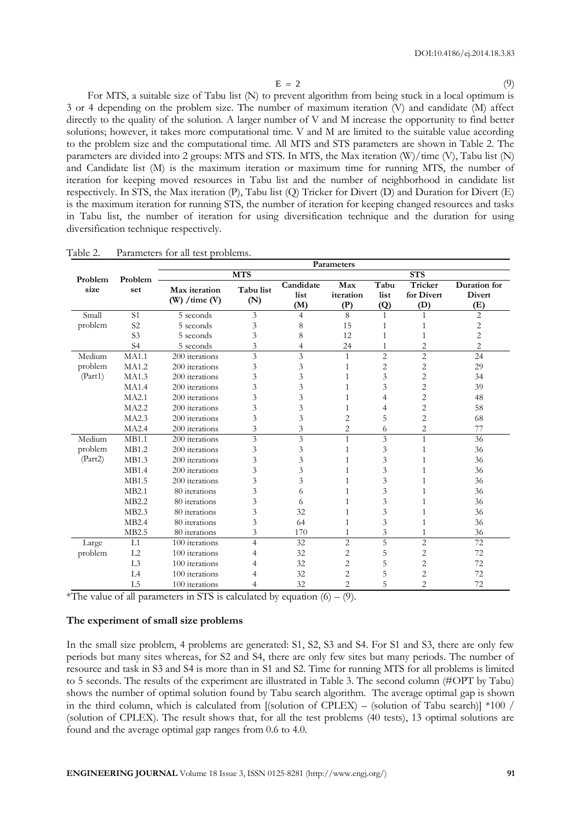$(9)$ 

| Problem<br>Max iteration<br>$(W) /$ time $(V)$<br>5 seconds<br>5 seconds | <b>MTS</b><br>Tabu list<br>(N)                                                                                                                                                                                                                                  | Candidate<br>list                                                                                                                                                                                                                                                                                                                                                                                                        | Parameters<br>Max                                                                                    |                                                                                                                                                                                                                           | <b>STS</b>                                                                                            |                                                                                                                                                                |
|--------------------------------------------------------------------------|-----------------------------------------------------------------------------------------------------------------------------------------------------------------------------------------------------------------------------------------------------------------|--------------------------------------------------------------------------------------------------------------------------------------------------------------------------------------------------------------------------------------------------------------------------------------------------------------------------------------------------------------------------------------------------------------------------|------------------------------------------------------------------------------------------------------|---------------------------------------------------------------------------------------------------------------------------------------------------------------------------------------------------------------------------|-------------------------------------------------------------------------------------------------------|----------------------------------------------------------------------------------------------------------------------------------------------------------------|
|                                                                          |                                                                                                                                                                                                                                                                 |                                                                                                                                                                                                                                                                                                                                                                                                                          |                                                                                                      |                                                                                                                                                                                                                           |                                                                                                       |                                                                                                                                                                |
|                                                                          |                                                                                                                                                                                                                                                                 |                                                                                                                                                                                                                                                                                                                                                                                                                          | iteration                                                                                            | Tabu<br>list                                                                                                                                                                                                              | Tricker<br>for Divert                                                                                 | Duration for<br>Divert                                                                                                                                         |
|                                                                          | 3                                                                                                                                                                                                                                                               | (M)<br>4                                                                                                                                                                                                                                                                                                                                                                                                                 | (P)<br>8                                                                                             | (Q)<br>1                                                                                                                                                                                                                  | (D)<br>$\mathbf{1}$                                                                                   | (E)<br>2                                                                                                                                                       |
|                                                                          | 3                                                                                                                                                                                                                                                               | 8                                                                                                                                                                                                                                                                                                                                                                                                                        | 15                                                                                                   | $\mathbf{1}$                                                                                                                                                                                                              | 1                                                                                                     | 2                                                                                                                                                              |
| 5 seconds                                                                | 3                                                                                                                                                                                                                                                               | 8                                                                                                                                                                                                                                                                                                                                                                                                                        | 12                                                                                                   | $\mathbf{1}$                                                                                                                                                                                                              | $\mathbf{1}$                                                                                          | $\overline{\mathbf{c}}$                                                                                                                                        |
| 5 seconds                                                                | 3                                                                                                                                                                                                                                                               | 4                                                                                                                                                                                                                                                                                                                                                                                                                        | 24                                                                                                   | 1                                                                                                                                                                                                                         | 2                                                                                                     | 2                                                                                                                                                              |
| 200 iterations<br>MA1.1                                                  | $\mathfrak{Z}$                                                                                                                                                                                                                                                  | 3                                                                                                                                                                                                                                                                                                                                                                                                                        | $\mathbf{1}$                                                                                         | $\mathbf{2}$                                                                                                                                                                                                              | $\mathbf{2}$                                                                                          | 24                                                                                                                                                             |
|                                                                          |                                                                                                                                                                                                                                                                 |                                                                                                                                                                                                                                                                                                                                                                                                                          |                                                                                                      |                                                                                                                                                                                                                           |                                                                                                       | 29                                                                                                                                                             |
|                                                                          |                                                                                                                                                                                                                                                                 |                                                                                                                                                                                                                                                                                                                                                                                                                          |                                                                                                      |                                                                                                                                                                                                                           |                                                                                                       | 34<br>39                                                                                                                                                       |
|                                                                          |                                                                                                                                                                                                                                                                 |                                                                                                                                                                                                                                                                                                                                                                                                                          |                                                                                                      |                                                                                                                                                                                                                           |                                                                                                       | 48                                                                                                                                                             |
|                                                                          |                                                                                                                                                                                                                                                                 |                                                                                                                                                                                                                                                                                                                                                                                                                          |                                                                                                      |                                                                                                                                                                                                                           |                                                                                                       | 58                                                                                                                                                             |
|                                                                          |                                                                                                                                                                                                                                                                 |                                                                                                                                                                                                                                                                                                                                                                                                                          |                                                                                                      |                                                                                                                                                                                                                           |                                                                                                       | 68                                                                                                                                                             |
|                                                                          | 3                                                                                                                                                                                                                                                               | 3                                                                                                                                                                                                                                                                                                                                                                                                                        | 2                                                                                                    | 6                                                                                                                                                                                                                         | 2                                                                                                     | 77                                                                                                                                                             |
|                                                                          | 3                                                                                                                                                                                                                                                               | $\overline{\mathbf{3}}$                                                                                                                                                                                                                                                                                                                                                                                                  | $\mathbf{1}$                                                                                         | 3                                                                                                                                                                                                                         | $\mathbf{1}$                                                                                          | 36                                                                                                                                                             |
|                                                                          | 3                                                                                                                                                                                                                                                               | 3                                                                                                                                                                                                                                                                                                                                                                                                                        | 1                                                                                                    | 3                                                                                                                                                                                                                         | 1                                                                                                     | 36                                                                                                                                                             |
|                                                                          |                                                                                                                                                                                                                                                                 |                                                                                                                                                                                                                                                                                                                                                                                                                          |                                                                                                      |                                                                                                                                                                                                                           |                                                                                                       | 36                                                                                                                                                             |
|                                                                          |                                                                                                                                                                                                                                                                 |                                                                                                                                                                                                                                                                                                                                                                                                                          |                                                                                                      |                                                                                                                                                                                                                           |                                                                                                       | 36                                                                                                                                                             |
|                                                                          |                                                                                                                                                                                                                                                                 |                                                                                                                                                                                                                                                                                                                                                                                                                          |                                                                                                      |                                                                                                                                                                                                                           |                                                                                                       | 36<br>36                                                                                                                                                       |
|                                                                          |                                                                                                                                                                                                                                                                 |                                                                                                                                                                                                                                                                                                                                                                                                                          |                                                                                                      |                                                                                                                                                                                                                           |                                                                                                       | 36                                                                                                                                                             |
|                                                                          |                                                                                                                                                                                                                                                                 |                                                                                                                                                                                                                                                                                                                                                                                                                          |                                                                                                      |                                                                                                                                                                                                                           |                                                                                                       | 36                                                                                                                                                             |
|                                                                          |                                                                                                                                                                                                                                                                 |                                                                                                                                                                                                                                                                                                                                                                                                                          |                                                                                                      |                                                                                                                                                                                                                           |                                                                                                       | 36                                                                                                                                                             |
|                                                                          | 3                                                                                                                                                                                                                                                               | 170                                                                                                                                                                                                                                                                                                                                                                                                                      | 1                                                                                                    |                                                                                                                                                                                                                           | 1                                                                                                     | 36                                                                                                                                                             |
|                                                                          | 4                                                                                                                                                                                                                                                               | 32                                                                                                                                                                                                                                                                                                                                                                                                                       | 2                                                                                                    | $\mathbf 5$                                                                                                                                                                                                               | $\overline{\mathbf{c}}$                                                                               | 72                                                                                                                                                             |
|                                                                          | 4                                                                                                                                                                                                                                                               | 32                                                                                                                                                                                                                                                                                                                                                                                                                       | 2                                                                                                    | $\mathbf 5$                                                                                                                                                                                                               | 2                                                                                                     | 72                                                                                                                                                             |
|                                                                          |                                                                                                                                                                                                                                                                 | 32                                                                                                                                                                                                                                                                                                                                                                                                                       | 2                                                                                                    | 5                                                                                                                                                                                                                         | 2                                                                                                     | 72                                                                                                                                                             |
|                                                                          | 4                                                                                                                                                                                                                                                               |                                                                                                                                                                                                                                                                                                                                                                                                                          | 2                                                                                                    |                                                                                                                                                                                                                           | 2                                                                                                     | 72                                                                                                                                                             |
|                                                                          | 4                                                                                                                                                                                                                                                               |                                                                                                                                                                                                                                                                                                                                                                                                                          |                                                                                                      |                                                                                                                                                                                                                           |                                                                                                       | $72\,$                                                                                                                                                         |
|                                                                          | <b>MA1.2</b><br>MA1.3<br><b>MA1.4</b><br><b>MA2.1</b><br>MA2.2<br>MA2.3<br>MA2.4<br>MB1.1<br>MB1.2<br>MB1.3<br>MB1.4<br>MB1.5<br>MB2.1<br>80 iterations<br>80 iterations<br>MB2.2<br>MB2.3<br>80 iterations<br>MB2.4<br>80 iterations<br>MB2.5<br>80 iterations | 200 iterations<br>3<br>200 iterations<br>3<br>3<br>200 iterations<br>200 iterations<br>3<br>200 iterations<br>3<br>3<br>200 iterations<br>200 iterations<br>200 iterations<br>200 iterations<br>200 iterations<br>3<br>200 iterations<br>3<br>200 iterations<br>3<br>3<br>3<br>3<br>3<br>100 iterations<br>100 iterations<br>100 iterations<br>100 iterations<br>100 iterations<br>The experiment of small size problems | 3<br>3<br>3<br>3<br>$\mathfrak z$<br>$\mathfrak{Z}$<br>3<br>3<br>3<br>6<br>6<br>32<br>64<br>32<br>32 | $\mathbf{1}$<br>$\mathbf{1}$<br>1<br>$\mathbf{1}$<br>$\overline{\mathbf{c}}$<br>$\mathbf{1}$<br>1<br>1<br>1<br>1<br>$\mathbf{1}$<br>1<br>2<br>*The value of all parameters in STS is calculated by equation $(6) - (9)$ . | $\overline{c}$<br>3<br>3<br>4<br>4<br>5<br>3<br>3<br>3<br>3<br>$\mathfrak z$<br>3<br>3<br>3<br>5<br>5 | 2<br>$\overline{\mathbf{c}}$<br>$\mathbf{2}$<br>2<br>$\overline{c}$<br>$\overline{c}$<br>$\mathbf{1}$<br>1<br>1<br>1<br>1<br>$\mathbf{1}$<br>$\mathbf{1}$<br>2 |

| Table 2. |  | Parameters for all test problems. |
|----------|--|-----------------------------------|
|----------|--|-----------------------------------|

#### **The experiment of small size problems**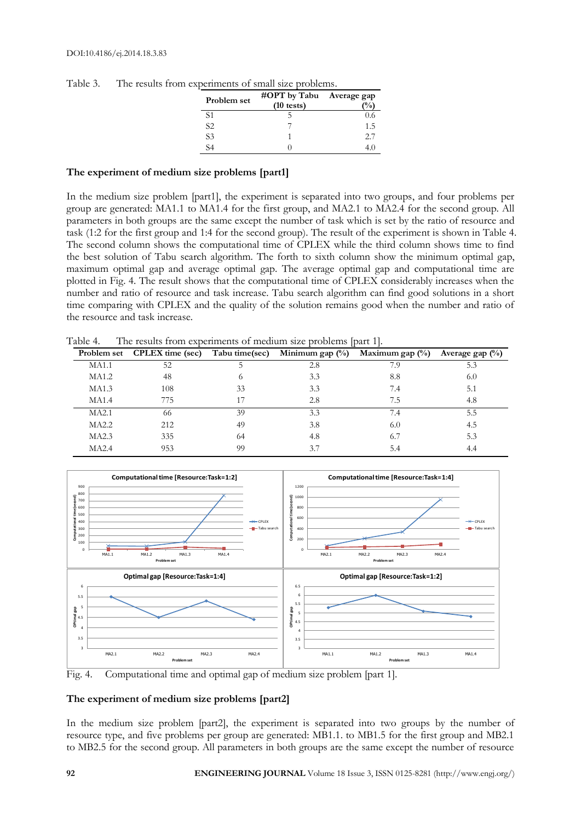| Problem set    | #OPT by Tabu Average gap<br>$(10 \text{ tests})$ |     |
|----------------|--------------------------------------------------|-----|
| S <sub>1</sub> |                                                  | 0.6 |
| S <sub>2</sub> |                                                  | 1.5 |
| S <sub>3</sub> |                                                  | 2.7 |
| S4             |                                                  |     |

Table 3. The results from experiments of small size problems.

#### **The experiment of medium size problems [part1]**

In the medium size problem [part1], the experiment is separated into two groups, and four problems per group are generated: MA1.1 to MA1.4 for the first group, and MA2.1 to MA2.4 for the second group. All parameters in both groups are the same except the number of task which is set by the ratio of resource and task (1:2 for the first group and 1:4 for the second group). The result of the experiment is shown in Table 4. The second column shows the computational time of CPLEX while the third column shows time to find the best solution of Tabu search algorithm. The forth to sixth column show the minimum optimal gap, maximum optimal gap and average optimal gap. The average optimal gap and computational time are plotted in Fig. 4. The result shows that the computational time of CPLEX considerably increases when the number and ratio of resource and task increase. Tabu search algorithm can find good solutions in a short time comparing with CPLEX and the quality of the solution remains good when the number and ratio of the resource and task increase.

Table 4. The results from experiments of medium size problems [part 1].

|              | ш.                      |                |                    |                    |                    |  |
|--------------|-------------------------|----------------|--------------------|--------------------|--------------------|--|
| Problem set  | <b>CPLEX</b> time (sec) | Tabu time(sec) | Minimum gap $(\%)$ | Maximum gap $(\%)$ | Average gap $(\%)$ |  |
| <b>MA1.1</b> | 52                      |                | 2.8                | 7.9                | 5.3                |  |
| MA1.2        | 48                      | 6              | 3.3                | 8.8                | 6.0                |  |
| MA1.3        | 108                     | 33             | 3.3                | 7.4                | 5.1                |  |
| <b>MA1.4</b> | 775                     |                | 2.8                | 7.5                | 4.8                |  |
| MA2.1        | 66                      | 39             | 3.3                | 7.4                | 5.5                |  |
| MA2.2        | 212                     | 49             | 3.8                | 6.0                | 4.5                |  |
| MA2.3        | 335                     | 64             | 4.8                | 6.7                | 5.3                |  |
| <b>MA2.4</b> | 953                     | 99             | 3.7                | 5.4                | 4.4                |  |



Fig. 4. Computational time and optimal gap of medium size problem [part 1].

#### **The experiment of medium size problems [part2]**

In the medium size problem [part2], the experiment is separated into two groups by the number of resource type, and five problems per group are generated: MB1.1. to MB1.5 for the first group and MB2.1 to MB2.5 for the second group. All parameters in both groups are the same except the number of resource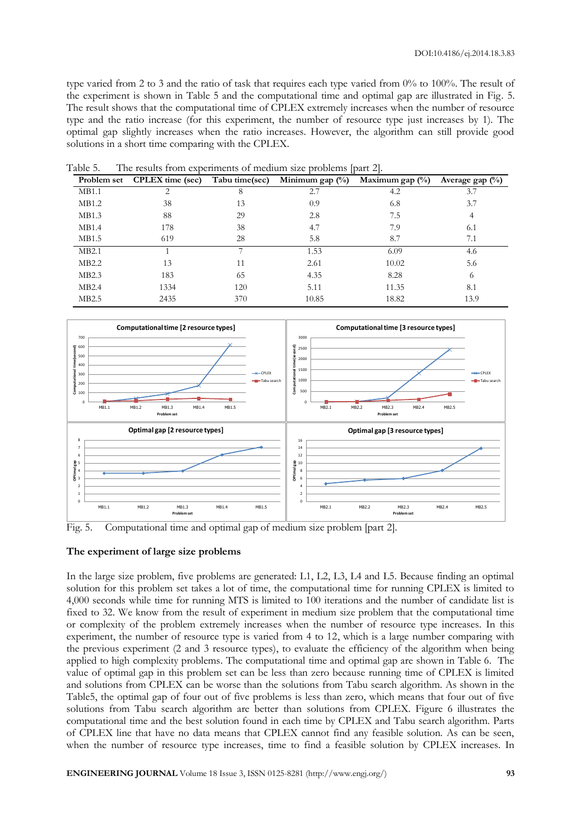type varied from 2 to 3 and the ratio of task that requires each type varied from 0% to 100%. The result of the experiment is shown in Table 5 and the computational time and optimal gap are illustrated in Fig. 5. The result shows that the computational time of CPLEX extremely increases when the number of resource type and the ratio increase (for this experiment, the number of resource type just increases by 1). The optimal gap slightly increases when the ratio increases. However, the algorithm can still provide good solutions in a short time comparing with the CPLEX.

|       | Problem set CPLEX time (sec) | Tabu time(sec) | Minimum gap $(\%)$ | Maximum gap $(\%)$ | Average gap $(\%)$ |
|-------|------------------------------|----------------|--------------------|--------------------|--------------------|
| MB1.1 | 2                            | 8              | 2.7                | 4.2                | 3.7                |
| MB1.2 | 38                           | 13             | 0.9                | 6.8                | 3.7                |
| MB1.3 | 88                           | 29             | 2.8                | 7.5                | 4                  |
| MB1.4 | 178                          | 38             | 4.7                | 7.9                | 6.1                |
| MB1.5 | 619                          | 28             | 5.8                | 8.7                | 7.1                |
| MB2.1 |                              |                | 1.53               | 6.09               | 4.6                |
| MB2.2 | 13                           | 11             | 2.61               | 10.02              | 5.6                |
| MB2.3 | 183                          | 65             | 4.35               | 8.28               | 6                  |
| MB2.4 | 1334                         | 120            | 5.11               | 11.35              | 8.1                |
| MB2.5 | 2435                         | 370            | 10.85              | 18.82              | 13.9               |

Table 5. The results from experiments of medium size problems [part 2].



Fig. 5. Computational time and optimal gap of medium size problem [part 2].

#### **The experiment of large size problems**

In the large size problem, five problems are generated: L1, L2, L3, L4 and L5. Because finding an optimal solution for this problem set takes a lot of time, the computational time for running CPLEX is limited to 4,000 seconds while time for running MTS is limited to 100 iterations and the number of candidate list is fixed to 32. We know from the result of experiment in medium size problem that the computational time or complexity of the problem extremely increases when the number of resource type increases. In this experiment, the number of resource type is varied from 4 to 12, which is a large number comparing with the previous experiment (2 and 3 resource types), to evaluate the efficiency of the algorithm when being applied to high complexity problems. The computational time and optimal gap are shown in Table 6. The value of optimal gap in this problem set can be less than zero because running time of CPLEX is limited and solutions from CPLEX can be worse than the solutions from Tabu search algorithm. As shown in the Table5, the optimal gap of four out of five problems is less than zero, which means that four out of five solutions from Tabu search algorithm are better than solutions from CPLEX. Figure 6 illustrates the computational time and the best solution found in each time by CPLEX and Tabu search algorithm. Parts of CPLEX line that have no data means that CPLEX cannot find any feasible solution. As can be seen, when the number of resource type increases, time to find a feasible solution by CPLEX increases. In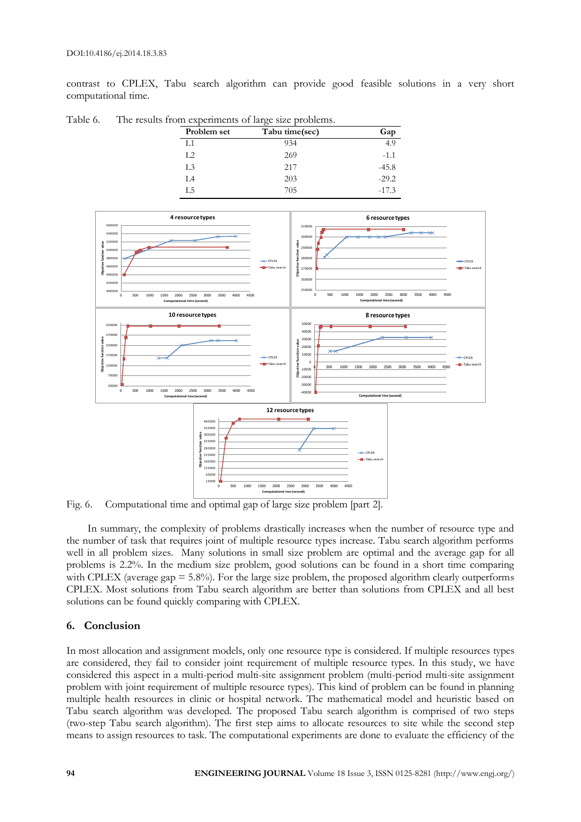contrast to CPLEX, Tabu search algorithm can provide good feasible solutions in a very short computational time.

| Table 6. |             | The results from experiments of large size problems. |         |
|----------|-------------|------------------------------------------------------|---------|
|          | Problem set | Tabu time(sec)                                       | Gap     |
|          |             | 934                                                  | 4.9     |
|          | L2          | 269                                                  | $-1.1$  |
|          | L3          | 217                                                  | $-45.8$ |
|          |             | 203                                                  | $-29.2$ |
|          |             | 705                                                  | $-17.3$ |



Fig. 6. Computational time and optimal gap of large size problem [part 2].

In summary, the complexity of problems drastically increases when the number of resource type and the number of task that requires joint of multiple resource types increase. Tabu search algorithm performs well in all problem sizes. Many solutions in small size problem are optimal and the average gap for all problems is 2.2%. In the medium size problem, good solutions can be found in a short time comparing with CPLEX (average gap  $= 5.8\%$ ). For the large size problem, the proposed algorithm clearly outperforms CPLEX. Most solutions from Tabu search algorithm are better than solutions from CPLEX and all best solutions can be found quickly comparing with CPLEX.

#### **6. Conclusion**

In most allocation and assignment models, only one resource type is considered. If multiple resources types are considered, they fail to consider joint requirement of multiple resource types. In this study, we have considered this aspect in a multi-period multi-site assignment problem (multi-period multi-site assignment problem with joint requirement of multiple resource types). This kind of problem can be found in planning multiple health resources in clinic or hospital network. The mathematical model and heuristic based on Tabu search algorithm was developed. The proposed Tabu search algorithm is comprised of two steps (two-step Tabu search algorithm). The first step aims to allocate resources to site while the second step means to assign resources to task. The computational experiments are done to evaluate the efficiency of the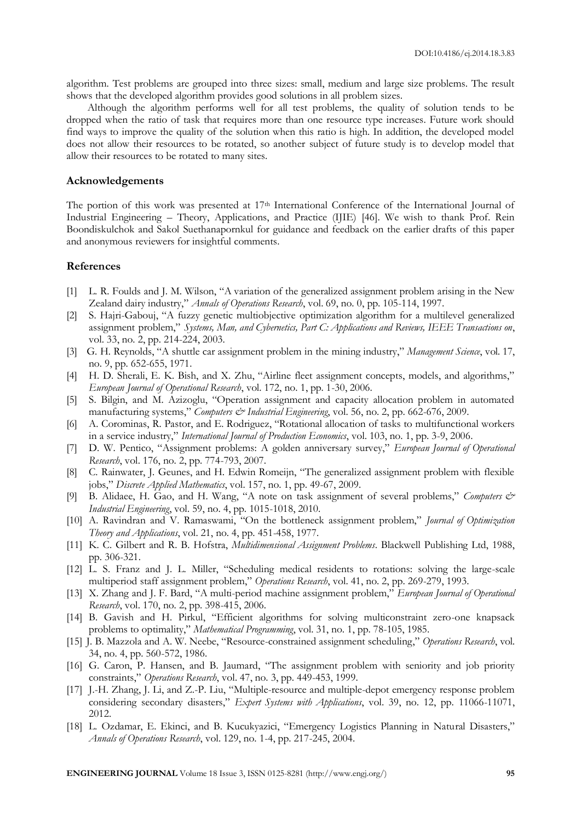algorithm. Test problems are grouped into three sizes: small, medium and large size problems. The result shows that the developed algorithm provides good solutions in all problem sizes.

Although the algorithm performs well for all test problems, the quality of solution tends to be dropped when the ratio of task that requires more than one resource type increases. Future work should find ways to improve the quality of the solution when this ratio is high. In addition, the developed model does not allow their resources to be rotated, so another subject of future study is to develop model that allow their resources to be rotated to many sites.

#### **Acknowledgements**

The portion of this work was presented at 17<sup>th</sup> International Conference of the International Journal of Industrial Engineering – Theory, Applications, and Practice (IJIE) [46]. We wish to thank Prof. Rein Boondiskulchok and Sakol Suethanapornkul for guidance and feedback on the earlier drafts of this paper and anonymous reviewers for insightful comments.

#### **References**

- [1] L. R. Foulds and J. M. Wilson, "A variation of the generalized assignment problem arising in the New Zealand dairy industry," *Annals of Operations Research*, vol. 69, no. 0, pp. 105-114, 1997.
- [2] S. Hajri-Gabouj, "A fuzzy genetic multiobjective optimization algorithm for a multilevel generalized assignment problem," *Systems, Man, and Cybernetics, Part C: Applications and Reviews, IEEE Transactions on*, vol. 33, no. 2, pp. 214-224, 2003.
- [3] G. H. Reynolds, "A shuttle car assignment problem in the mining industry," *Management Science*, vol. 17, no. 9, pp. 652-655, 1971.
- [4] H. D. Sherali, E. K. Bish, and X. Zhu, "Airline fleet assignment concepts, models, and algorithms," *European Journal of Operational Research*, vol. 172, no. 1, pp. 1-30, 2006.
- [5] S. Bilgin, and M. Azizoglu, "Operation assignment and capacity allocation problem in automated manufacturing systems," *Computers & Industrial Engineering*, vol. 56, no. 2, pp. 662-676, 2009.
- [6] A. Corominas, R. Pastor, and E. Rodriguez, "Rotational allocation of tasks to multifunctional workers in a service industry," *International Journal of Production Economics*, vol. 103, no. 1, pp. 3-9, 2006.
- [7] D. W. Pentico, "Assignment problems: A golden anniversary survey," *European Journal of Operational Research*, vol. 176, no. 2, pp. 774-793, 2007.
- [8] C. Rainwater, J. Geunes, and H. Edwin Romeijn, "The generalized assignment problem with flexible jobs," *Discrete Applied Mathematics*, vol. 157, no. 1, pp. 49-67, 2009.
- [9] B. Alidaee, H. Gao, and H. Wang, "A note on task assignment of several problems," *Computers & Industrial Engineering*, vol. 59, no. 4, pp. 1015-1018, 2010.
- [10] A. Ravindran and V. Ramaswami, "On the bottleneck assignment problem," *Journal of Optimization Theory and Applications*, vol. 21, no. 4, pp. 451-458, 1977.
- [11] K. C. Gilbert and R. B. Hofstra, *Multidimensional Assignment Problems*. Blackwell Publishing Ltd, 1988, pp. 306-321.
- [12] L. S. Franz and J. L. Miller, "Scheduling medical residents to rotations: solving the large-scale multiperiod staff assignment problem," *Operations Research*, vol. 41, no. 2, pp. 269-279, 1993.
- [13] X. Zhang and J. F. Bard, "A multi-period machine assignment problem," *European Journal of Operational Research*, vol. 170, no. 2, pp. 398-415, 2006.
- [14] B. Gavish and H. Pirkul, "Efficient algorithms for solving multiconstraint zero-one knapsack problems to optimality," *Mathematical Programming*, vol. 31, no. 1, pp. 78-105, 1985.
- [15] J. B. Mazzola and A. W. Neebe, "Resource-constrained assignment scheduling," *Operations Research*, vol. 34, no. 4, pp. 560-572, 1986.
- [16] G. Caron, P. Hansen, and B. Jaumard, "The assignment problem with seniority and job priority constraints," *Operations Research*, vol. 47, no. 3, pp. 449-453, 1999.
- [17] J.-H. Zhang, J. Li, and Z.-P. Liu, "Multiple-resource and multiple-depot emergency response problem considering secondary disasters," *Expert Systems with Applications*, vol. 39, no. 12, pp. 11066-11071, 2012.
- [18] L. Ozdamar, E. Ekinci, and B. Kucukyazici, "Emergency Logistics Planning in Natural Disasters," *Annals of Operations Research*, vol. 129, no. 1-4, pp. 217-245, 2004.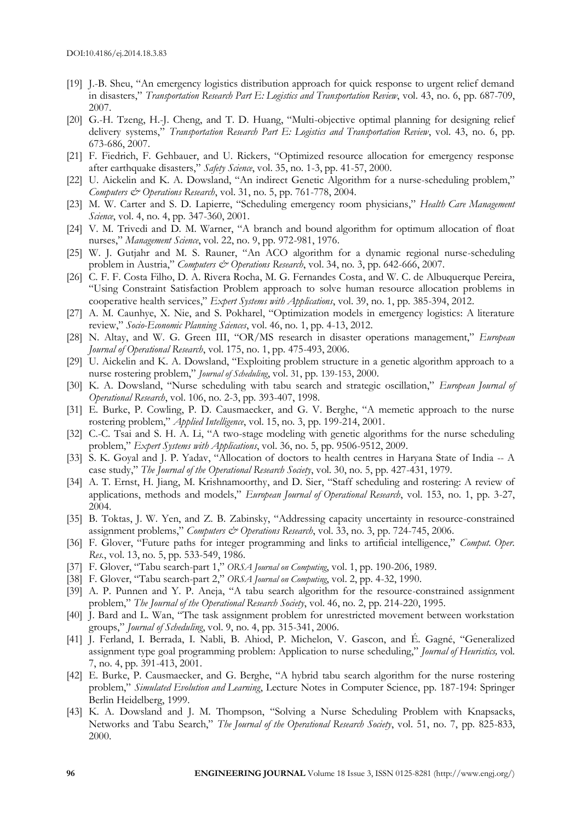- [19] J.-B. Sheu, "An emergency logistics distribution approach for quick response to urgent relief demand in disasters," *Transportation Research Part E: Logistics and Transportation Review*, vol. 43, no. 6, pp. 687-709, 2007.
- [20] G.-H. Tzeng, H.-J. Cheng, and T. D. Huang, "Multi-objective optimal planning for designing relief delivery systems," *Transportation Research Part E: Logistics and Transportation Review*, vol. 43, no. 6, pp. 673-686, 2007.
- [21] F. Fiedrich, F. Gehbauer, and U. Rickers, "Optimized resource allocation for emergency response after earthquake disasters," *Safety Science*, vol. 35, no. 1-3, pp. 41-57, 2000.
- [22] U. Aickelin and K. A. Dowsland, "An indirect Genetic Algorithm for a nurse-scheduling problem," *Computers & Operations Research*, vol. 31, no. 5, pp. 761-778, 2004.
- [23] M. W. Carter and S. D. Lapierre, "Scheduling emergency room physicians," *Health Care Management Science*, vol. 4, no. 4, pp. 347-360, 2001.
- [24] V. M. Trivedi and D. M. Warner, "A branch and bound algorithm for optimum allocation of float nurses," *Management Science*, vol. 22, no. 9, pp. 972-981, 1976.
- [25] W. J. Gutjahr and M. S. Rauner, "An ACO algorithm for a dynamic regional nurse-scheduling problem in Austria," *Computers & Operations Research*, vol. 34, no. 3, pp. 642-666, 2007.
- [26] C. F. F. Costa Filho, D. A. Rivera Rocha, M. G. Fernandes Costa, and W. C. de Albuquerque Pereira, "Using Constraint Satisfaction Problem approach to solve human resource allocation problems in cooperative health services," *Expert Systems with Applications*, vol. 39, no. 1, pp. 385-394, 2012.
- [27] A. M. Caunhye, X. Nie, and S. Pokharel, "Optimization models in emergency logistics: A literature review," *Socio-Economic Planning Sciences*, vol. 46, no. 1, pp. 4-13, 2012.
- [28] N. Altay, and W. G. Green III, "OR/MS research in disaster operations management," *European Journal of Operational Research*, vol. 175, no. 1, pp. 475-493, 2006.
- [29] U. Aickelin and K. A. Dowsland, "Exploiting problem structure in a genetic algorithm approach to a nurse rostering problem," *Journal of Scheduling*, vol. 31, pp. 139-153, 2000.
- [30] K. A. Dowsland, "Nurse scheduling with tabu search and strategic oscillation," *European Journal of Operational Research*, vol. 106, no. 2-3, pp. 393-407, 1998.
- [31] E. Burke, P. Cowling, P. D. Causmaecker, and G. V. Berghe, "A memetic approach to the nurse rostering problem," *Applied Intelligence*, vol. 15, no. 3, pp. 199-214, 2001.
- [32] C.-C. Tsai and S. H. A. Li, "A two-stage modeling with genetic algorithms for the nurse scheduling problem," *Expert Systems with Applications*, vol. 36, no. 5, pp. 9506-9512, 2009.
- [33] S. K. Goyal and J. P. Yadav, "Allocation of doctors to health centres in Haryana State of India -- A case study," *The Journal of the Operational Research Society*, vol. 30, no. 5, pp. 427-431, 1979.
- [34] A. T. Ernst, H. Jiang, M. Krishnamoorthy, and D. Sier, "Staff scheduling and rostering: A review of applications, methods and models," *European Journal of Operational Research*, vol. 153, no. 1, pp. 3-27, 2004.
- [35] B. Toktas, J. W. Yen, and Z. B. Zabinsky, "Addressing capacity uncertainty in resource-constrained assignment problems," *Computers & Operations Research*, vol. 33, no. 3, pp. 724-745, 2006.
- [36] F. Glover, "Future paths for integer programming and links to artificial intelligence," *Comput. Oper. Res.*, vol. 13, no. 5, pp. 533-549, 1986.
- [37] F. Glover, "Tabu search-part 1," *ORSA Journal on Computing*, vol. 1, pp. 190-206, 1989.
- [38] F. Glover, "Tabu search-part 2," *ORSA Journal on Computing*, vol. 2, pp. 4-32, 1990.
- [39] A. P. Punnen and Y. P. Aneja, "A tabu search algorithm for the resource-constrained assignment problem," *The Journal of the Operational Research Society*, vol. 46, no. 2, pp. 214-220, 1995.
- [40] J. Bard and L. Wan, "The task assignment problem for unrestricted movement between workstation groups," *Journal of Scheduling*, vol. 9, no. 4, pp. 315-341, 2006.
- [41] J. Ferland, I. Berrada, I. Nabli, B. Ahiod, P. Michelon, V. Gascon, and É. Gagné, "Generalized assignment type goal programming problem: Application to nurse scheduling," *Journal of Heuristics,* vol. 7, no. 4, pp. 391-413, 2001.
- [42] E. Burke, P. Causmaecker, and G. Berghe, "A hybrid tabu search algorithm for the nurse rostering problem," *Simulated Evolution and Learning*, Lecture Notes in Computer Science, pp. 187-194: Springer Berlin Heidelberg, 1999.
- [43] K. A. Dowsland and J. M. Thompson, "Solving a Nurse Scheduling Problem with Knapsacks, Networks and Tabu Search," *The Journal of the Operational Research Society*, vol. 51, no. 7, pp. 825-833, 2000.